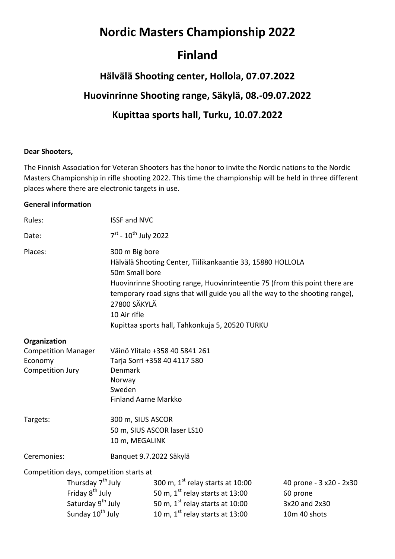## **Nordic Masters Championship 2022**

### **Finland**

# **Hälvälä Shooting center, Hollola, 07.07.2022 Huovinrinne Shooting range, Säkylä, 08.-09.07.2022 Kupittaa sports hall, Turku, 10.07.2022**

#### **Dear Shooters,**

The Finnish Association for Veteran Shooters has the honor to invite the Nordic nations to the Nordic Masters Championship in rifle shooting 2022. This time the championship will be held in three different places where there are electronic targets in use.

#### **General information**

| Rules:                                                                                                                        |  | <b>ISSF and NVC</b>                                                                                                                                                                                                                                                                                                                             |                                             |                         |  |
|-------------------------------------------------------------------------------------------------------------------------------|--|-------------------------------------------------------------------------------------------------------------------------------------------------------------------------------------------------------------------------------------------------------------------------------------------------------------------------------------------------|---------------------------------------------|-------------------------|--|
| Date:                                                                                                                         |  | $7^{st}$ - 10 <sup>th</sup> July 2022                                                                                                                                                                                                                                                                                                           |                                             |                         |  |
| Places:                                                                                                                       |  | 300 m Big bore<br>Hälvälä Shooting Center, Tiilikankaantie 33, 15880 HOLLOLA<br>50m Small bore<br>Huovinrinne Shooting range, Huovinrinteentie 75 (from this point there are<br>temporary road signs that will guide you all the way to the shooting range),<br>27800 SÄKYLÄ<br>10 Air rifle<br>Kupittaa sports hall, Tahkonkuja 5, 20520 TURKU |                                             |                         |  |
| Organization                                                                                                                  |  |                                                                                                                                                                                                                                                                                                                                                 |                                             |                         |  |
| <b>Competition Manager</b>                                                                                                    |  | Väinö Ylitalo +358 40 5841 261                                                                                                                                                                                                                                                                                                                  |                                             |                         |  |
| Economy                                                                                                                       |  | Tarja Sorri +358 40 4117 580                                                                                                                                                                                                                                                                                                                    |                                             |                         |  |
| Competition Jury                                                                                                              |  | Denmark                                                                                                                                                                                                                                                                                                                                         |                                             |                         |  |
|                                                                                                                               |  | Norway                                                                                                                                                                                                                                                                                                                                          |                                             |                         |  |
|                                                                                                                               |  | Sweden                                                                                                                                                                                                                                                                                                                                          |                                             |                         |  |
|                                                                                                                               |  | <b>Finland Aarne Markko</b>                                                                                                                                                                                                                                                                                                                     |                                             |                         |  |
| Targets:                                                                                                                      |  | 300 m, SIUS ASCOR                                                                                                                                                                                                                                                                                                                               |                                             |                         |  |
|                                                                                                                               |  | 50 m, SIUS ASCOR laser LS10                                                                                                                                                                                                                                                                                                                     |                                             |                         |  |
|                                                                                                                               |  | 10 m, MEGALINK                                                                                                                                                                                                                                                                                                                                  |                                             |                         |  |
| Ceremonies:                                                                                                                   |  | Banquet 9.7.2022 Säkylä                                                                                                                                                                                                                                                                                                                         |                                             |                         |  |
| Competition days, competition starts at                                                                                       |  |                                                                                                                                                                                                                                                                                                                                                 |                                             |                         |  |
| Thursday 7 <sup>th</sup> July<br>Friday 8 <sup>th</sup> July<br>Saturday 9 <sup>th</sup> July<br>Sunday 10 <sup>th</sup> July |  |                                                                                                                                                                                                                                                                                                                                                 | 300 m, $1st$ relay starts at 10:00          | 40 prone - 3 x20 - 2x30 |  |
|                                                                                                                               |  |                                                                                                                                                                                                                                                                                                                                                 | 50 m, $1^{st}$ relay starts at 13:00        | 60 prone                |  |
|                                                                                                                               |  |                                                                                                                                                                                                                                                                                                                                                 | 50 m, $1st$ relay starts at 10:00           | 3x20 and 2x30           |  |
|                                                                                                                               |  |                                                                                                                                                                                                                                                                                                                                                 | 10 m, $1^{\text{st}}$ relay starts at 13:00 | 10m 40 shots            |  |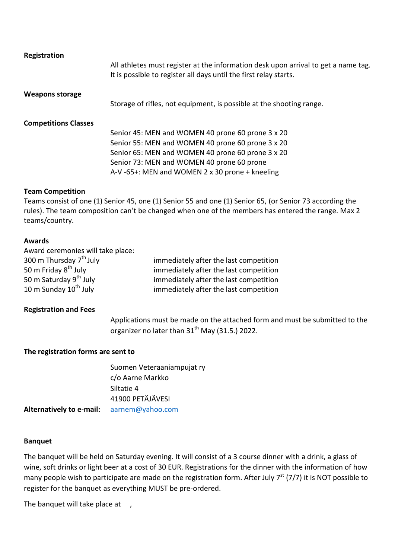| Registration                |                                                                                                                                                         |
|-----------------------------|---------------------------------------------------------------------------------------------------------------------------------------------------------|
|                             | All athletes must register at the information desk upon arrival to get a name tag.<br>It is possible to register all days until the first relay starts. |
| <b>Weapons storage</b>      |                                                                                                                                                         |
|                             | Storage of rifles, not equipment, is possible at the shooting range.                                                                                    |
| <b>Competitions Classes</b> |                                                                                                                                                         |
|                             | Senior 45: MEN and WOMEN 40 prone 60 prone 3 x 20                                                                                                       |
|                             | Senior 55: MEN and WOMEN 40 prone 60 prone 3 x 20                                                                                                       |
|                             | Senior 65: MEN and WOMEN 40 prone 60 prone 3 x 20                                                                                                       |
|                             | Senior 73: MEN and WOMEN 40 prone 60 prone                                                                                                              |
|                             | A-V-65+: MEN and WOMEN 2 x 30 prone + kneeling                                                                                                          |

#### **Team Competition**

Teams consist of one (1) Senior 45, one (1) Senior 55 and one (1) Senior 65, (or Senior 73 according the rules). The team composition can't be changed when one of the members has entered the range. Max 2 teams/country.

#### **Awards**

| Award ceremonies will take place:   |                                        |
|-------------------------------------|----------------------------------------|
| 300 m Thursday 7 <sup>th</sup> July | immediately after the last competition |
| 50 m Friday 8 <sup>th</sup> July    | immediately after the last competition |
| 50 m Saturday 9 <sup>th</sup> July  | immediately after the last competition |
| 10 m Sunday 10 <sup>th</sup> July   | immediately after the last competition |

#### **Registration and Fees**

Applications must be made on the attached form and must be submitted to the organizer no later than  $31<sup>th</sup>$  May (31.5.) 2022.

#### **The registration forms are sent to**

|                          | Suomen Veteraaniampujat ry<br>c/o Aarne Markko |
|--------------------------|------------------------------------------------|
|                          | Siltatie 4                                     |
|                          | 41900 PETÄJÄVESI                               |
| Alternatively to e-mail: | aarnem@yahoo.com                               |

#### **Banquet**

The banquet will be held on Saturday evening. It will consist of a 3 course dinner with a drink, a glass of wine, soft drinks or light beer at a cost of 30 EUR. Registrations for the dinner with the information of how many people wish to participate are made on the registration form. After July 7<sup>st</sup> (7/7) it is NOT possible to register for the banquet as everything MUST be pre-ordered.

The banquet will take place at ,